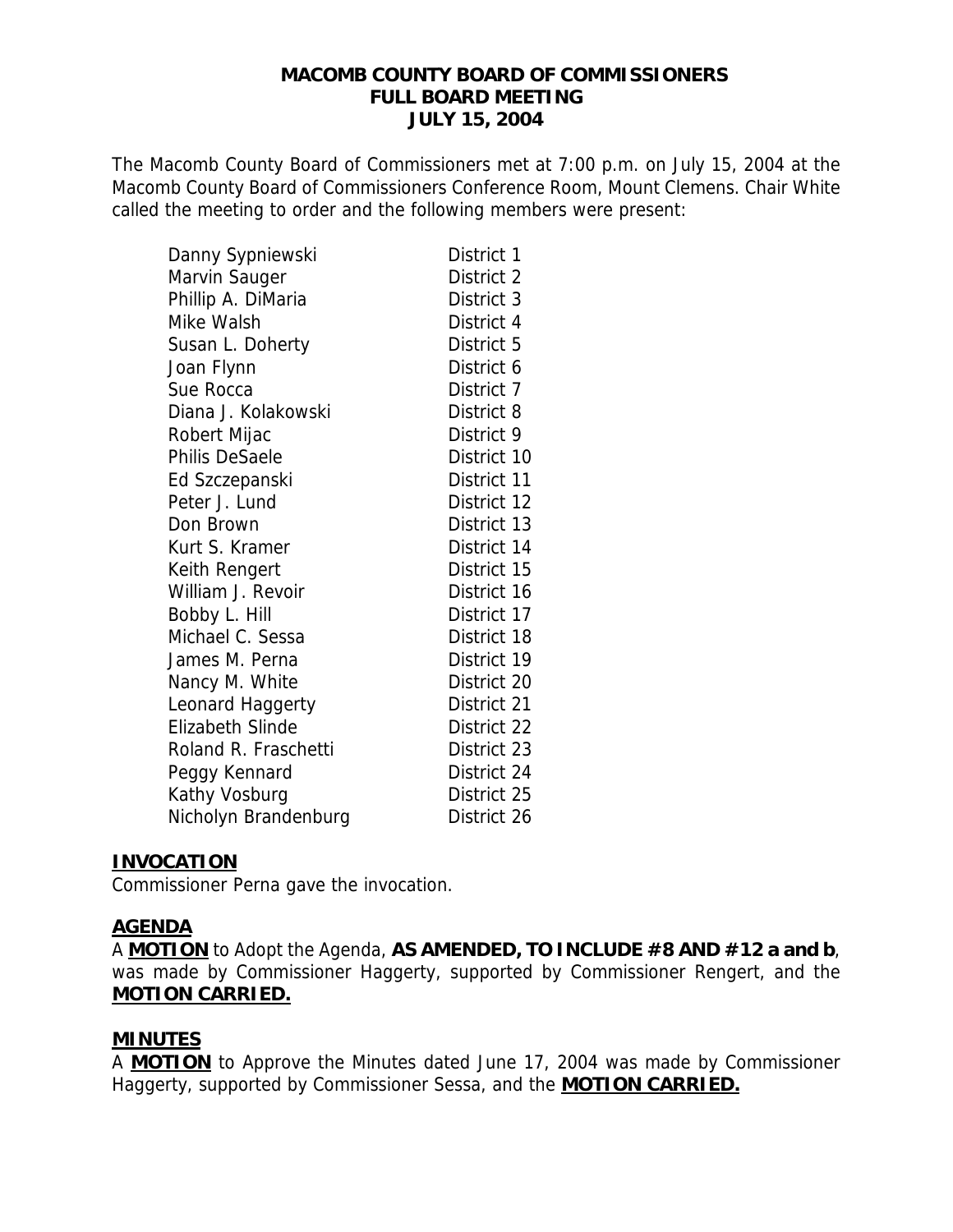#### **MACOMB COUNTY BOARD OF COMMISSIONERS FULL BOARD MEETING JULY 15, 2004**

The Macomb County Board of Commissioners met at 7:00 p.m. on July 15, 2004 at the Macomb County Board of Commissioners Conference Room, Mount Clemens. Chair White called the meeting to order and the following members were present:

| Danny Sypniewski        | District 1  |
|-------------------------|-------------|
| Marvin Sauger           | District 2  |
| Phillip A. DiMaria      | District 3  |
| Mike Walsh              | District 4  |
| Susan L. Doherty        | District 5  |
| Joan Flynn              | District 6  |
| Sue Rocca               | District 7  |
| Diana J. Kolakowski     | District 8  |
| Robert Mijac            | District 9  |
| Philis DeSaele          | District 10 |
| Ed Szczepanski          | District 11 |
| Peter J. Lund           | District 12 |
| Don Brown               | District 13 |
| Kurt S. Kramer          | District 14 |
| Keith Rengert           | District 15 |
| William J. Revoir       | District 16 |
| Bobby L. Hill           | District 17 |
| Michael C. Sessa        | District 18 |
| James M. Perna          | District 19 |
| Nancy M. White          | District 20 |
| Leonard Haggerty        | District 21 |
| <b>Elizabeth Slinde</b> | District 22 |
| Roland R. Fraschetti    | District 23 |
| Peggy Kennard           | District 24 |
| Kathy Vosburg           | District 25 |
| Nicholyn Brandenburg    | District 26 |

### **INVOCATION**

Commissioner Perna gave the invocation.

### **AGENDA**

A **MOTION** to Adopt the Agenda, **AS AMENDED, TO INCLUDE #8 AND #12 a and b**, was made by Commissioner Haggerty, supported by Commissioner Rengert, and the **MOTION CARRIED.**

### **MINUTES**

A **MOTION** to Approve the Minutes dated June 17, 2004 was made by Commissioner Haggerty, supported by Commissioner Sessa, and the **MOTION CARRIED.**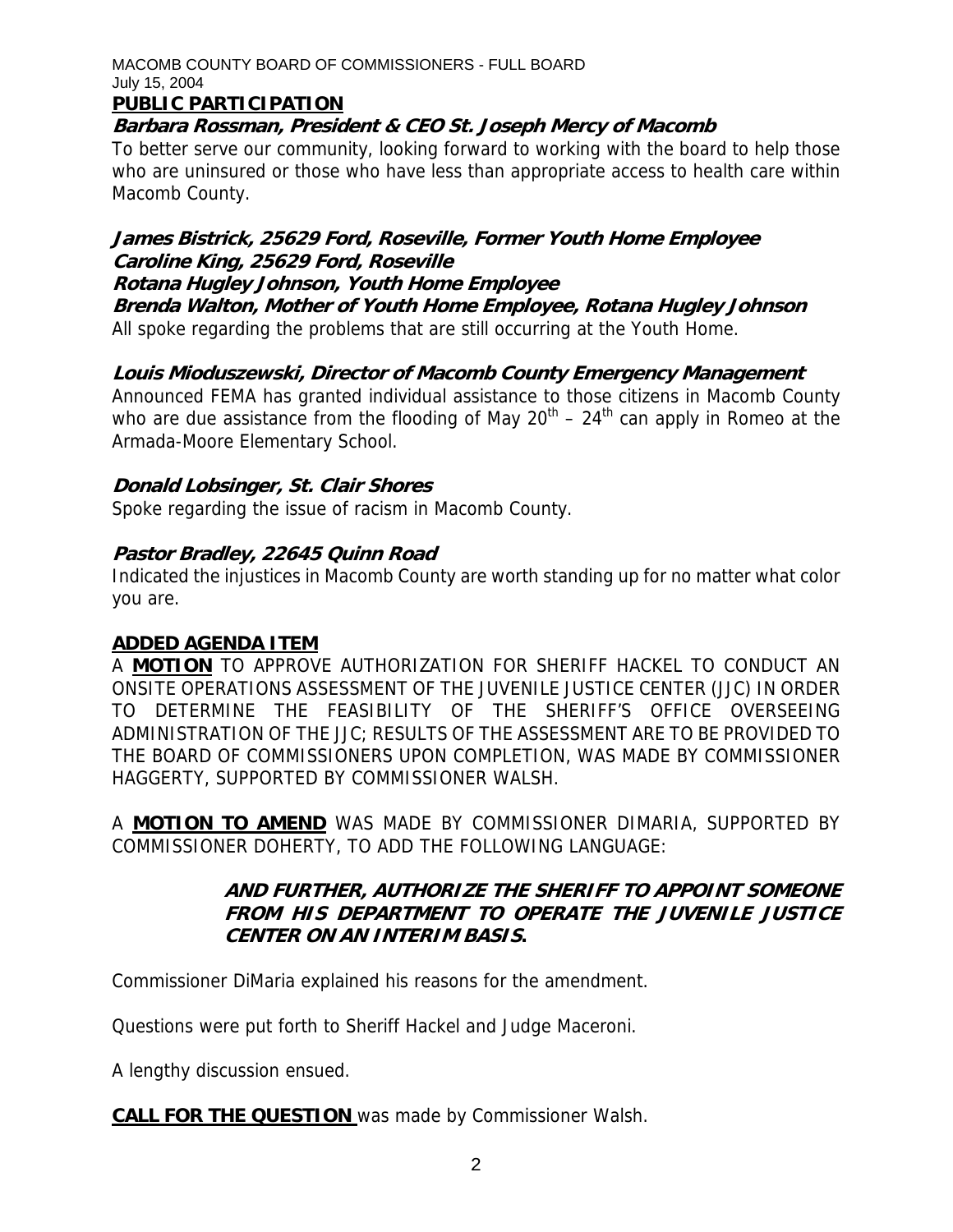### **PUBLIC PARTICIPATION**

**Barbara Rossman, President & CEO St. Joseph Mercy of Macomb** 

To better serve our community, looking forward to working with the board to help those who are uninsured or those who have less than appropriate access to health care within Macomb County.

# **James Bistrick, 25629 Ford, Roseville, Former Youth Home Employee Caroline King, 25629 Ford, Roseville**

### **Rotana Hugley Johnson, Youth Home Employee**

**Brenda Walton, Mother of Youth Home Employee, Rotana Hugley Johnson**  All spoke regarding the problems that are still occurring at the Youth Home.

# **Louis Mioduszewski, Director of Macomb County Emergency Management**

Announced FEMA has granted individual assistance to those citizens in Macomb County who are due assistance from the flooding of May  $20^{th}$  –  $24^{th}$  can apply in Romeo at the Armada-Moore Elementary School.

# **Donald Lobsinger, St. Clair Shores**

Spoke regarding the issue of racism in Macomb County.

# **Pastor Bradley, 22645 Quinn Road**

Indicated the injustices in Macomb County are worth standing up for no matter what color you are.

# **ADDED AGENDA ITEM**

A **MOTION** TO APPROVE AUTHORIZATION FOR SHERIFF HACKEL TO CONDUCT AN ONSITE OPERATIONS ASSESSMENT OF THE JUVENILE JUSTICE CENTER (JJC) IN ORDER TO DETERMINE THE FEASIBILITY OF THE SHERIFF'S OFFICE OVERSEEING ADMINISTRATION OF THE JJC; RESULTS OF THE ASSESSMENT ARE TO BE PROVIDED TO THE BOARD OF COMMISSIONERS UPON COMPLETION, WAS MADE BY COMMISSIONER HAGGERTY, SUPPORTED BY COMMISSIONER WALSH.

A **MOTION TO AMEND** WAS MADE BY COMMISSIONER DIMARIA, SUPPORTED BY COMMISSIONER DOHERTY, TO ADD THE FOLLOWING LANGUAGE:

# **AND FURTHER, AUTHORIZE THE SHERIFF TO APPOINT SOMEONE FROM HIS DEPARTMENT TO OPERATE THE JUVENILE JUSTICE CENTER ON AN INTERIM BASIS.**

Commissioner DiMaria explained his reasons for the amendment.

Questions were put forth to Sheriff Hackel and Judge Maceroni.

A lengthy discussion ensued.

**CALL FOR THE QUESTION** was made by Commissioner Walsh.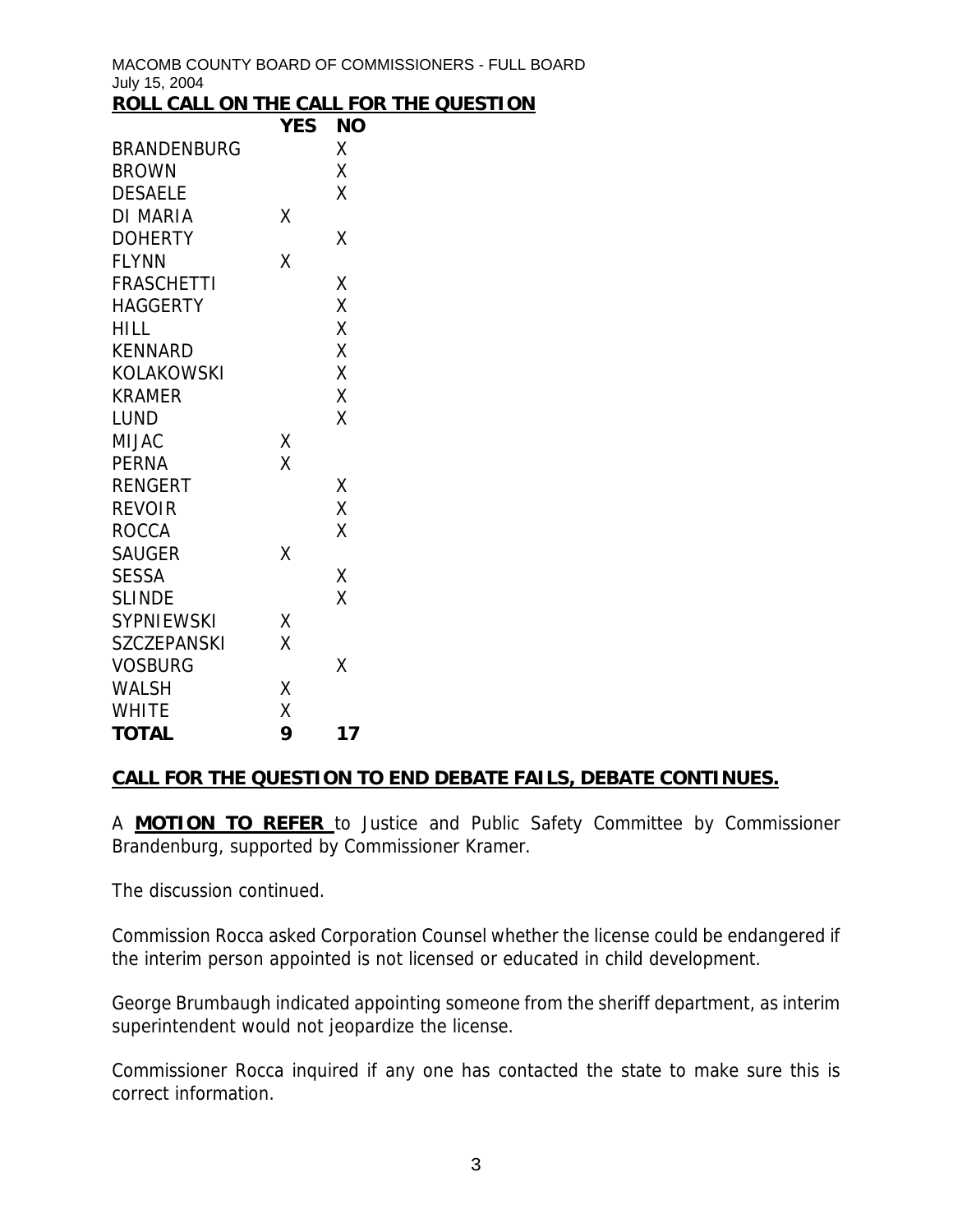|  |  |  | ROLL CALL ON THE CALL FOR THE QUESTION |
|--|--|--|----------------------------------------|
|  |  |  |                                        |

|                    | <b>YES</b> | <b>NO</b> |
|--------------------|------------|-----------|
| <b>BRANDENBURG</b> |            | X         |
| <b>BROWN</b>       |            | X         |
| <b>DESAELE</b>     |            | X         |
| DI MARIA           | Χ          |           |
| <b>DOHERTY</b>     |            | Χ         |
| <b>FLYNN</b>       | X          |           |
| <b>FRASCHETTI</b>  |            | Χ         |
| <b>HAGGERTY</b>    |            | X         |
| HILL.              |            | X         |
| <b>KENNARD</b>     |            | Χ         |
| KOLAKOWSKI         |            | X         |
| <b>KRAMER</b>      |            | X         |
| <b>LUND</b>        |            | X         |
| <b>MIJAC</b>       | Χ          |           |
| <b>PERNA</b>       | X          |           |
| <b>RENGERT</b>     |            | X         |
| <b>REVOIR</b>      |            | X         |
| <b>ROCCA</b>       |            | χ         |
| <b>SAUGER</b>      | X          |           |
| <b>SESSA</b>       |            | Χ         |
| <b>SLINDE</b>      |            | χ         |
| <b>SYPNIEWSKI</b>  | X          |           |
| <b>SZCZEPANSKI</b> | X          |           |
| <b>VOSBURG</b>     |            | Χ         |
| <b>WALSH</b>       | X          |           |
| <b>WHITE</b>       | X          |           |
| <b>TOTAL</b>       | 9          | 17        |

### **CALL FOR THE QUESTION TO END DEBATE FAILS, DEBATE CONTINUES.**

A **MOTION TO REFER** to Justice and Public Safety Committee by Commissioner Brandenburg, supported by Commissioner Kramer.

The discussion continued.

Commission Rocca asked Corporation Counsel whether the license could be endangered if the interim person appointed is not licensed or educated in child development.

George Brumbaugh indicated appointing someone from the sheriff department, as interim superintendent would not jeopardize the license.

Commissioner Rocca inquired if any one has contacted the state to make sure this is correct information.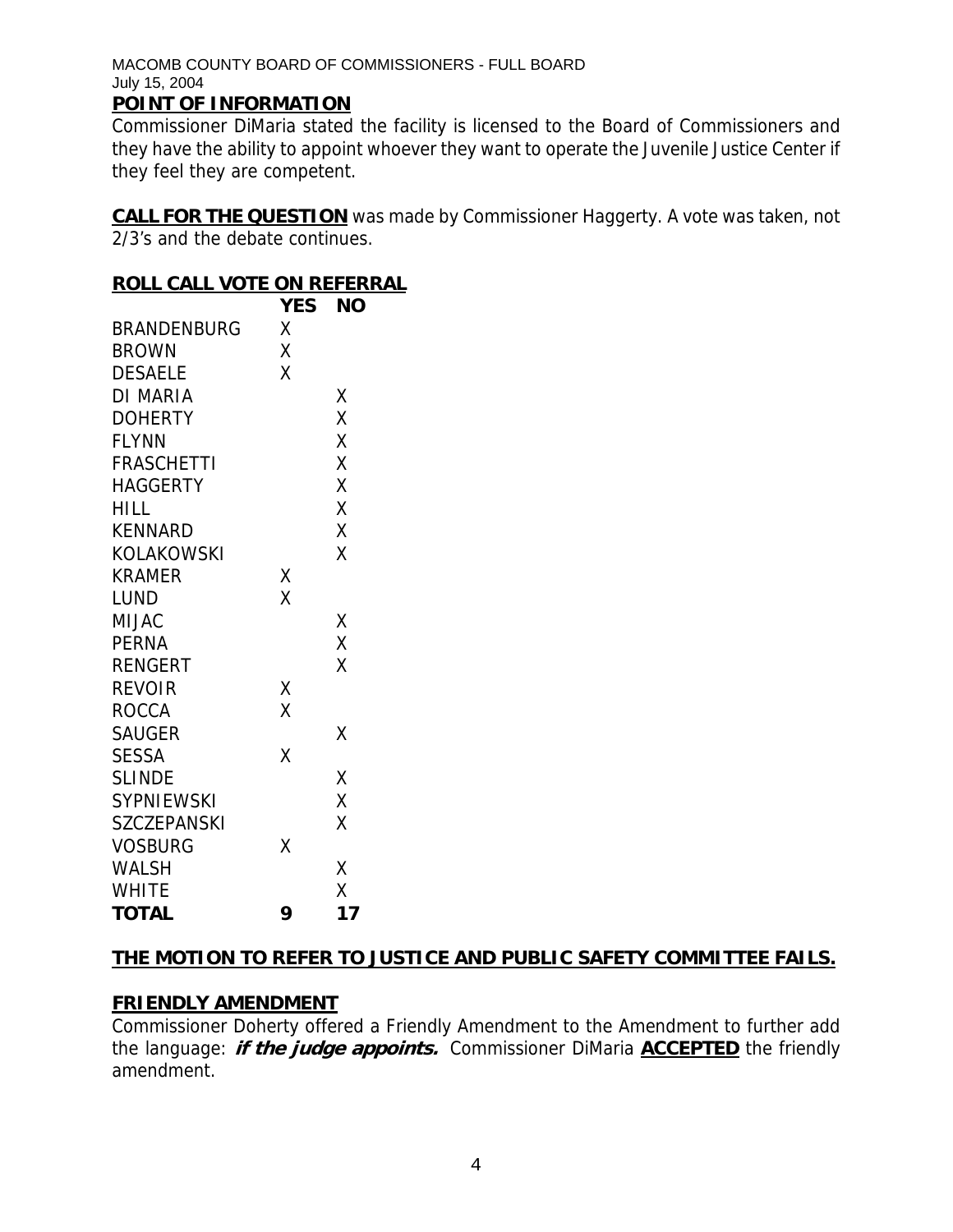### **POINT OF INFORMATION**

Commissioner DiMaria stated the facility is licensed to the Board of Commissioners and they have the ability to appoint whoever they want to operate the Juvenile Justice Center if they feel they are competent.

**CALL FOR THE QUESTION** was made by Commissioner Haggerty. A vote was taken, not 2/3's and the debate continues.

### **ROLL CALL VOTE ON REFERRAL**

|                    | <b>YES</b> | ΝO |
|--------------------|------------|----|
| <b>BRANDENBURG</b> | χ          |    |
| <b>BROWN</b>       | X          |    |
| <b>DESAELE</b>     | X          |    |
| DI MARIA           |            | Χ  |
| <b>DOHERTY</b>     |            | X  |
| <b>FLYNN</b>       |            | X  |
| <b>FRASCHETTI</b>  |            | X  |
| HAGGERTY           |            | X  |
| HILL               |            | Χ  |
| <b>KENNARD</b>     |            | Χ  |
| KOLAKOWSKI         |            | X  |
| KRAMER             | Χ          |    |
| LUND               | X          |    |
| <b>MIJAC</b>       |            | Χ  |
| PERNA              |            | X  |
| <b>RENGERT</b>     |            | X  |
| <b>REVOIR</b>      | Χ          |    |
| <b>ROCCA</b>       | Χ          |    |
| <b>SAUGER</b>      |            | Χ  |
| <b>SESSA</b>       | X          |    |
| <b>SLINDE</b>      |            | Χ  |
| <b>SYPNIEWSKI</b>  |            | Χ  |
| <b>SZCZEPANSKI</b> |            | X  |
| <b>VOSBURG</b>     | Χ          |    |
| WALSH              |            | Χ  |
| <b>WHITE</b>       |            | X  |
| <b>TOTAL</b>       | 9          | 17 |

# **THE MOTION TO REFER TO JUSTICE AND PUBLIC SAFETY COMMITTEE FAILS.**

# **FRIENDLY AMENDMENT**

Commissioner Doherty offered a Friendly Amendment to the Amendment to further add the language: **if the judge appoints.** Commissioner DiMaria **ACCEPTED** the friendly amendment.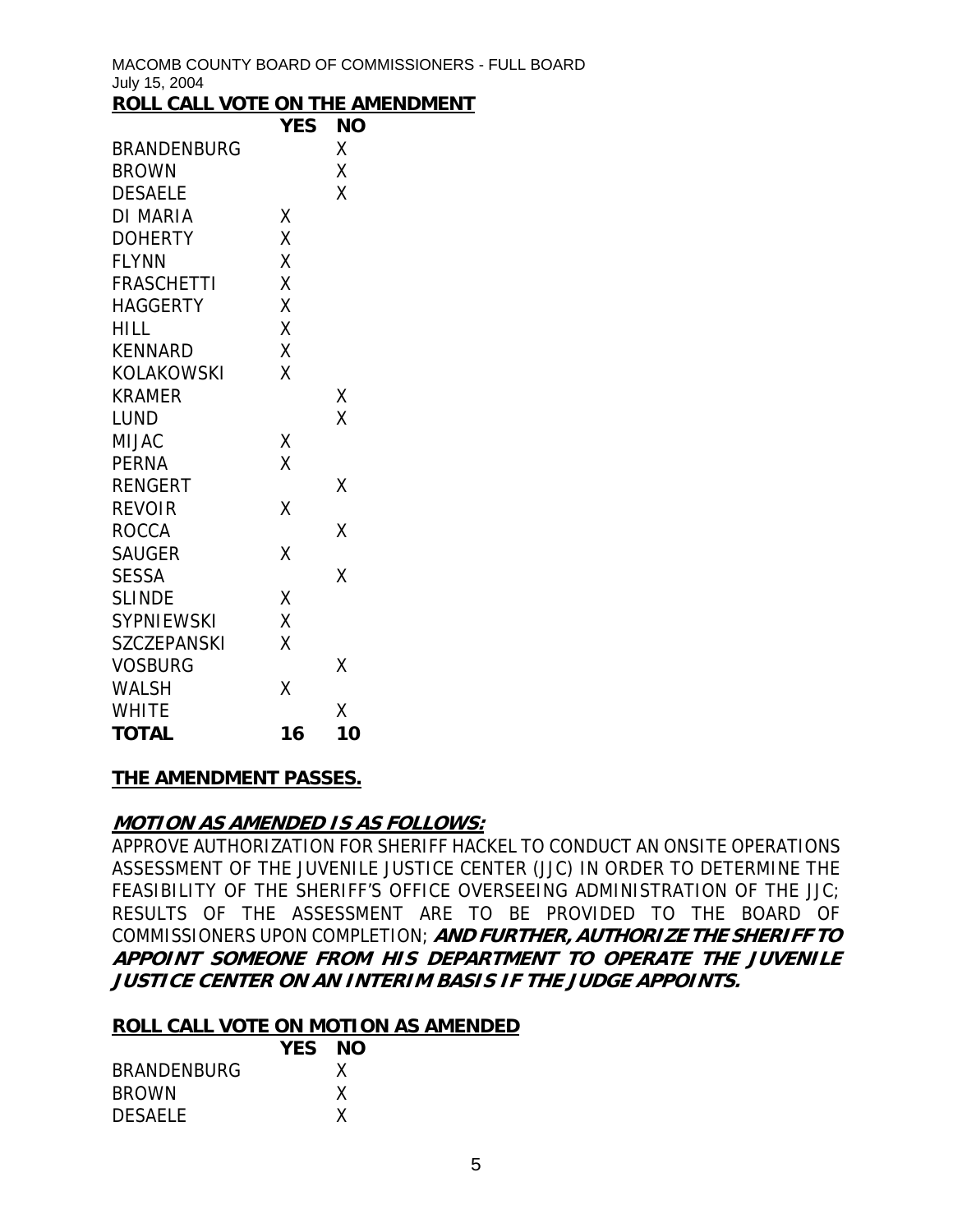MACOMB COUNTY BOARD OF COMMISSIONERS - FULL BOARD July 15, 2004 <u>**ROMENT**</u>

| <u>ROLL CALL VOTE ON THE AMEN</u> |            |           |
|-----------------------------------|------------|-----------|
|                                   | <b>YES</b> | <b>NO</b> |
| <b>BRANDENBURG</b>                |            | Χ         |
| <b>BROWN</b>                      |            | Χ         |
| <b>DESAELE</b>                    |            | X         |
| <b>DI MARIA</b>                   | Χ          |           |
| <b>DOHERTY</b>                    | X          |           |
| <b>FLYNN</b>                      | X          |           |
| <b>FRASCHETTI</b>                 | X          |           |
| <b>HAGGERTY</b>                   | Χ          |           |
| <b>HILL</b>                       | X          |           |
| <b>KENNARD</b>                    | X          |           |
| <b>KOLAKOWSKI</b>                 | X          |           |
| <b>KRAMER</b>                     |            | Χ         |
| LUND                              |            | X         |
| <b>MIJAC</b>                      | Χ          |           |
| <b>PERNA</b>                      | X          |           |
| <b>RENGERT</b>                    |            | Χ         |
| <b>REVOIR</b>                     | Χ          |           |
| <b>ROCCA</b>                      |            | Χ         |
| <b>SAUGER</b>                     | χ          |           |
| <b>SESSA</b>                      |            | X         |
| <b>SLINDE</b>                     | X          |           |
| <b>SYPNIEWSKI</b>                 | X          |           |
| <b>SZCZEPANSKI</b>                | Χ          |           |
| <b>VOSBURG</b>                    |            | Χ         |
| <b>WALSH</b>                      | Χ          |           |
| <b>WHITE</b>                      |            | χ         |
| <b>TOTAL</b>                      | 16         | 10        |
|                                   |            |           |

### **THE AMENDMENT PASSES.**

### **MOTION AS AMENDED IS AS FOLLOWS:**

APPROVE AUTHORIZATION FOR SHERIFF HACKEL TO CONDUCT AN ONSITE OPERATIONS ASSESSMENT OF THE JUVENILE JUSTICE CENTER (JJC) IN ORDER TO DETERMINE THE FEASIBILITY OF THE SHERIFF'S OFFICE OVERSEEING ADMINISTRATION OF THE JJC; RESULTS OF THE ASSESSMENT ARE TO BE PROVIDED TO THE BOARD OF COMMISSIONERS UPON COMPLETION; **AND FURTHER, AUTHORIZE THE SHERIFF TO APPOINT SOMEONE FROM HIS DEPARTMENT TO OPERATE THE JUVENILE JUSTICE CENTER ON AN INTERIM BASIS IF THE JUDGE APPOINTS.** 

### **ROLL CALL VOTE ON MOTION AS AMENDED**

|                    | YES NO |  |
|--------------------|--------|--|
| <b>BRANDENBURG</b> |        |  |
| <b>BROWN</b>       |        |  |
| <b>DESAELE</b>     |        |  |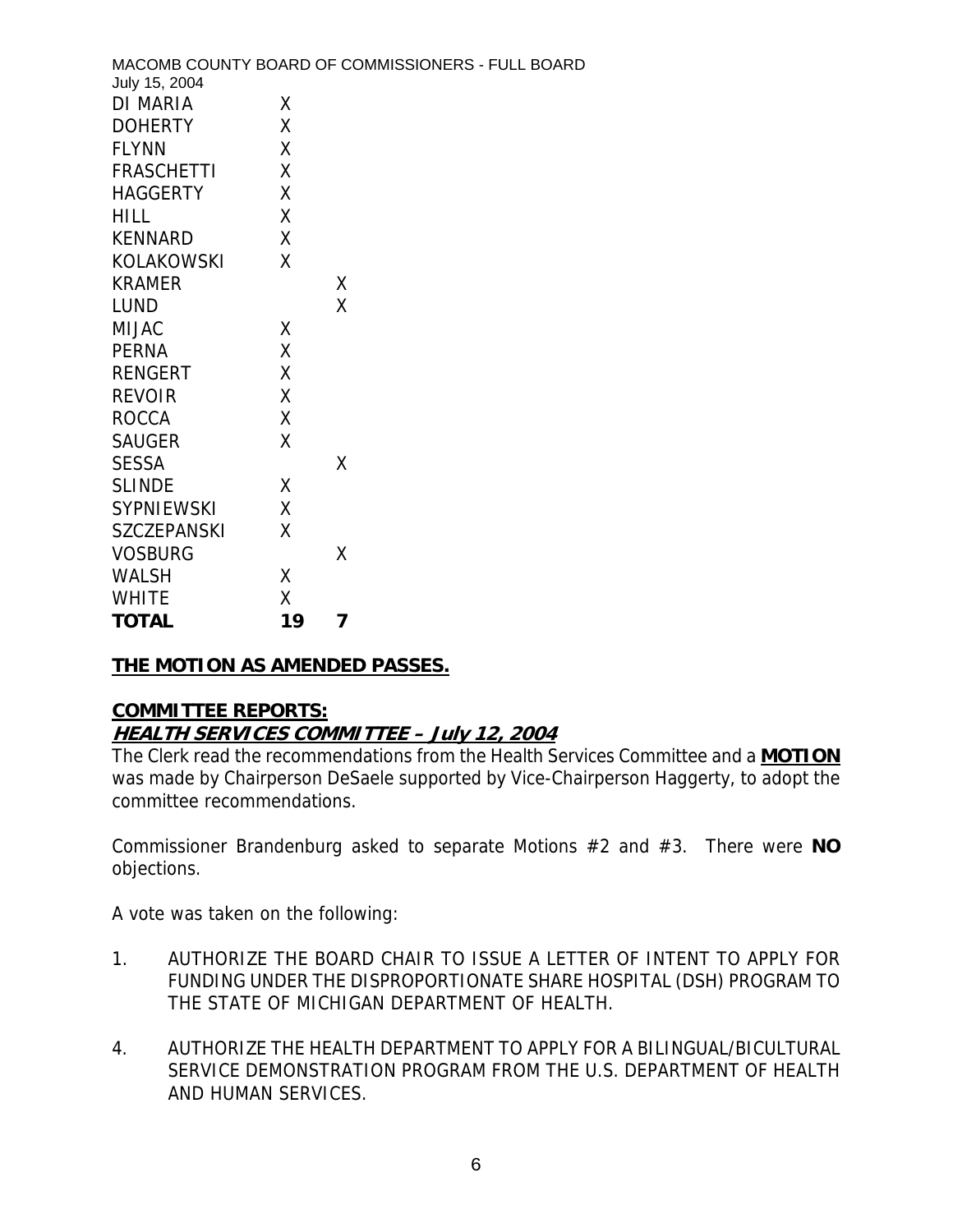| July 15, 2004      |    | MACOMB COUNTY BOARD OF COMMISSIONERS - FULL BOARD |
|--------------------|----|---------------------------------------------------|
| DI MARIA           | Χ  |                                                   |
| <b>DOHERTY</b>     | X  |                                                   |
| <b>FLYNN</b>       | Χ  |                                                   |
| <b>FRASCHETTI</b>  | Χ  |                                                   |
| <b>HAGGERTY</b>    | χ  |                                                   |
| <b>HILL</b>        | Χ  |                                                   |
| <b>KENNARD</b>     | Χ  |                                                   |
| <b>KOLAKOWSKI</b>  | χ  |                                                   |
| <b>KRAMER</b>      |    | X                                                 |
| <b>LUND</b>        |    | X                                                 |
| <b>MIJAC</b>       | X  |                                                   |
| <b>PERNA</b>       | Χ  |                                                   |
| <b>RENGERT</b>     | Χ  |                                                   |
| <b>REVOIR</b>      | Χ  |                                                   |
| <b>ROCCA</b>       | Χ  |                                                   |
| <b>SAUGER</b>      | Χ  |                                                   |
| <b>SESSA</b>       |    | X                                                 |
| <b>SLINDE</b>      | X  |                                                   |
| <b>SYPNIEWSKI</b>  | X  |                                                   |
| <b>SZCZEPANSKI</b> | X  |                                                   |
| <b>VOSBURG</b>     |    | Χ                                                 |
| <b>WALSH</b>       | χ  |                                                   |
| <b>WHITE</b>       | χ  |                                                   |
| <b>TOTAL</b>       | 19 | 7                                                 |

# **THE MOTION AS AMENDED PASSES.**

### **COMMITTEE REPORTS: HEALTH SERVICES COMMITTEE – July 12, 2004**

The Clerk read the recommendations from the Health Services Committee and a **MOTION** was made by Chairperson DeSaele supported by Vice-Chairperson Haggerty, to adopt the committee recommendations.

Commissioner Brandenburg asked to separate Motions #2 and #3. There were **NO** objections.

A vote was taken on the following:

- 1. AUTHORIZE THE BOARD CHAIR TO ISSUE A LETTER OF INTENT TO APPLY FOR FUNDING UNDER THE DISPROPORTIONATE SHARE HOSPITAL (DSH) PROGRAM TO THE STATE OF MICHIGAN DEPARTMENT OF HEALTH.
- 4. AUTHORIZE THE HEALTH DEPARTMENT TO APPLY FOR A BILINGUAL/BICULTURAL SERVICE DEMONSTRATION PROGRAM FROM THE U.S. DEPARTMENT OF HEALTH AND HUMAN SERVICES.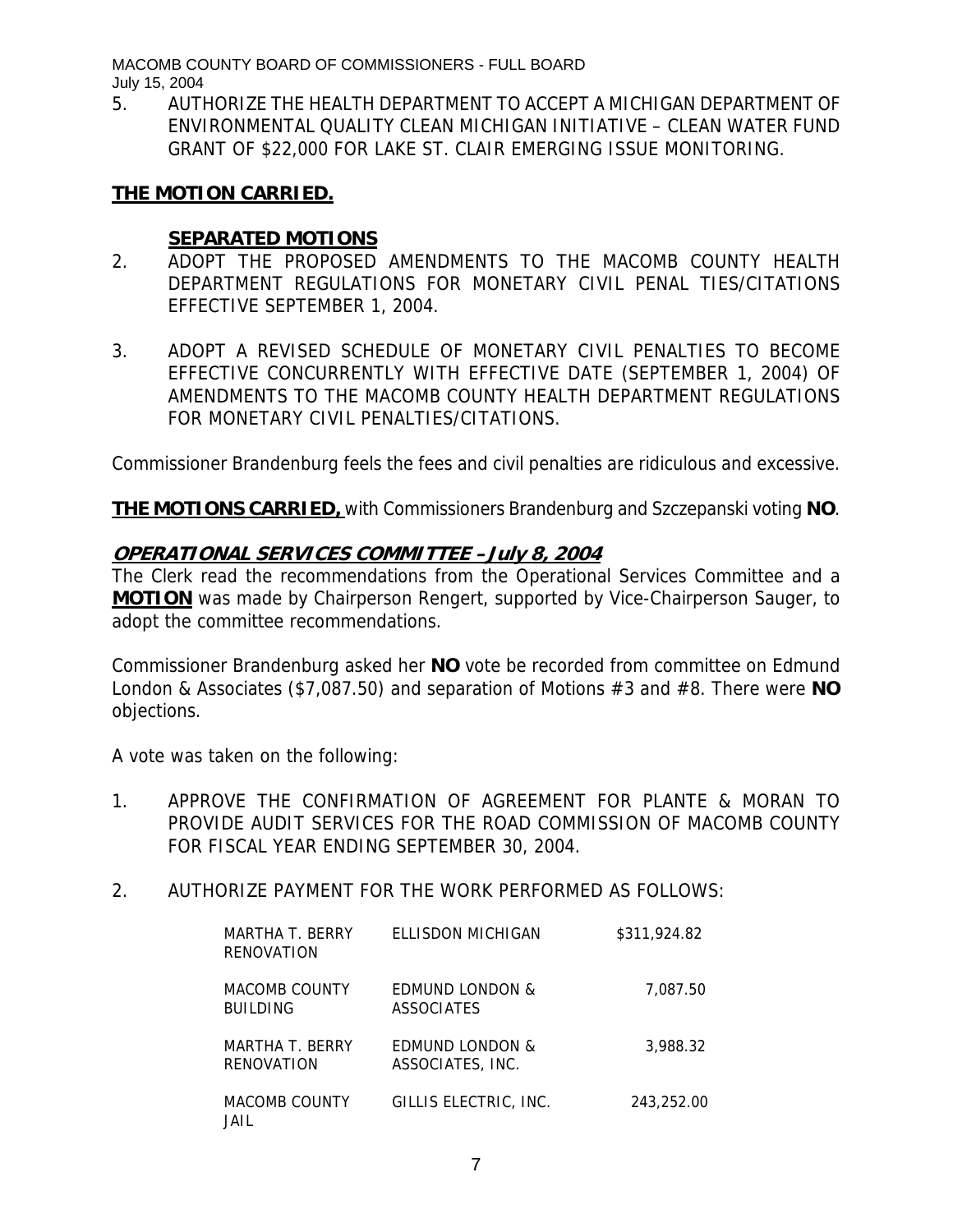5. AUTHORIZE THE HEALTH DEPARTMENT TO ACCEPT A MICHIGAN DEPARTMENT OF ENVIRONMENTAL QUALITY CLEAN MICHIGAN INITIATIVE – CLEAN WATER FUND GRANT OF \$22,000 FOR LAKE ST. CLAIR EMERGING ISSUE MONITORING.

### **THE MOTION CARRIED.**

### **SEPARATED MOTIONS**

- 2. ADOPT THE PROPOSED AMENDMENTS TO THE MACOMB COUNTY HEALTH DEPARTMENT REGULATIONS FOR MONETARY CIVIL PENAL TIES/CITATIONS EFFECTIVE SEPTEMBER 1, 2004.
- 3. ADOPT A REVISED SCHEDULE OF MONETARY CIVIL PENALTIES TO BECOME EFFECTIVE CONCURRENTLY WITH EFFECTIVE DATE (SEPTEMBER 1, 2004) OF AMENDMENTS TO THE MACOMB COUNTY HEALTH DEPARTMENT REGULATIONS FOR MONETARY CIVIL PENALTIES/CITATIONS.

Commissioner Brandenburg feels the fees and civil penalties are ridiculous and excessive.

**THE MOTIONS CARRIED,** with Commissioners Brandenburg and Szczepanski voting **NO**.

### **OPERATIONAL SERVICES COMMITTEE –July 8, 2004**

The Clerk read the recommendations from the Operational Services Committee and a **MOTION** was made by Chairperson Rengert, supported by Vice-Chairperson Sauger, to adopt the committee recommendations.

Commissioner Brandenburg asked her **NO** vote be recorded from committee on Edmund London & Associates (\$7,087.50) and separation of Motions #3 and #8. There were **NO** objections.

A vote was taken on the following:

- 1. APPROVE THE CONFIRMATION OF AGREEMENT FOR PLANTE & MORAN TO PROVIDE AUDIT SERVICES FOR THE ROAD COMMISSION OF MACOMB COUNTY FOR FISCAL YEAR ENDING SEPTEMBER 30, 2004.
- 2. AUTHORIZE PAYMENT FOR THE WORK PERFORMED AS FOLLOWS:

| MARTHA T. BERRY<br>RENOVATION           | FI LISDON MICHIGAN                             | \$311,924.82 |
|-----------------------------------------|------------------------------------------------|--------------|
| <b>MACOMB COUNTY</b><br><b>BUILDING</b> | EDMUND LONDON &<br><b>ASSOCIATES</b>           | 7,087.50     |
| MARTHA T. BERRY<br><b>RENOVATION</b>    | <b>FDMUND LONDON &amp;</b><br>ASSOCIATES, INC. | 3.988.32     |
| <b>MACOMB COUNTY</b><br>JAIL            | GILLIS ELECTRIC, INC.                          | 243.252.00   |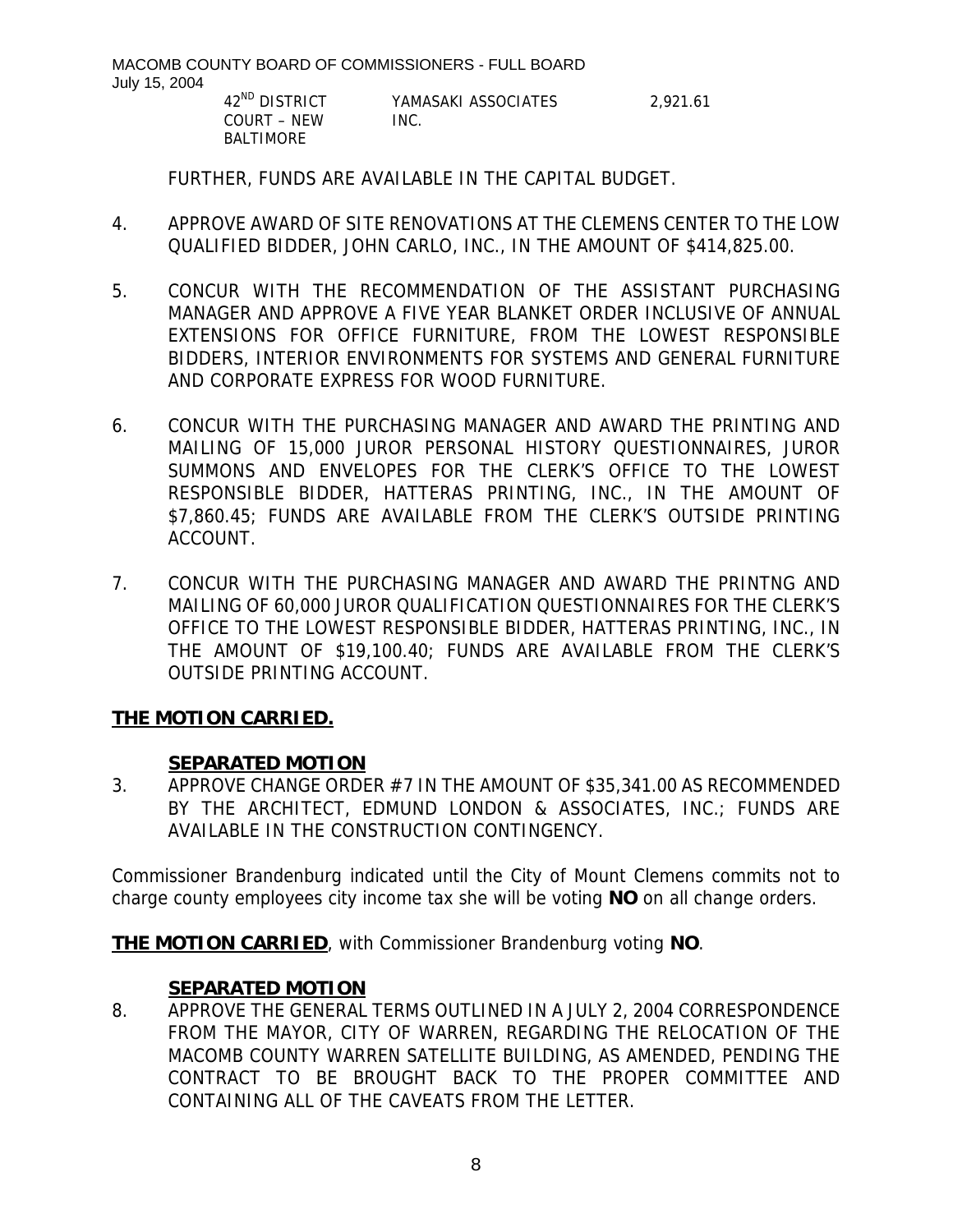> COURT – NEW INC. BALTIMORE

42<sup>ND</sup> DISTRICT YAMASAKI ASSOCIATES 2,921.61

FURTHER, FUNDS ARE AVAILABLE IN THE CAPITAL BUDGET.

- 4. APPROVE AWARD OF SITE RENOVATIONS AT THE CLEMENS CENTER TO THE LOW QUALIFIED BIDDER, JOHN CARLO, INC., IN THE AMOUNT OF \$414,825.00.
- 5. CONCUR WITH THE RECOMMENDATION OF THE ASSISTANT PURCHASING MANAGER AND APPROVE A FIVE YEAR BLANKET ORDER INCLUSIVE OF ANNUAL EXTENSIONS FOR OFFICE FURNITURE, FROM THE LOWEST RESPONSIBLE BIDDERS, INTERIOR ENVIRONMENTS FOR SYSTEMS AND GENERAL FURNITURE AND CORPORATE EXPRESS FOR WOOD FURNITURE.
- 6. CONCUR WITH THE PURCHASING MANAGER AND AWARD THE PRINTING AND MAILING OF 15,000 JUROR PERSONAL HISTORY QUESTIONNAIRES, JUROR SUMMONS AND ENVELOPES FOR THE CLERK'S OFFICE TO THE LOWEST RESPONSIBLE BIDDER, HATTERAS PRINTING, INC., IN THE AMOUNT OF \$7,860.45; FUNDS ARE AVAILABLE FROM THE CLERK'S OUTSIDE PRINTING ACCOUNT.
- 7. CONCUR WITH THE PURCHASING MANAGER AND AWARD THE PRINTNG AND MAILING OF 60,000 JUROR QUALIFICATION QUESTIONNAIRES FOR THE CLERK'S OFFICE TO THE LOWEST RESPONSIBLE BIDDER, HATTERAS PRINTING, INC., IN THE AMOUNT OF \$19,100.40; FUNDS ARE AVAILABLE FROM THE CLERK'S OUTSIDE PRINTING ACCOUNT.

# **THE MOTION CARRIED.**

### **SEPARATED MOTION**

3. APPROVE CHANGE ORDER #7 IN THE AMOUNT OF \$35,341.00 AS RECOMMENDED BY THE ARCHITECT, EDMUND LONDON & ASSOCIATES, INC.; FUNDS ARE AVAILABLE IN THE CONSTRUCTION CONTINGENCY.

Commissioner Brandenburg indicated until the City of Mount Clemens commits not to charge county employees city income tax she will be voting **NO** on all change orders.

**THE MOTION CARRIED**, with Commissioner Brandenburg voting **NO**.

### **SEPARATED MOTION**

8. APPROVE THE GENERAL TERMS OUTLINED IN A JULY 2, 2004 CORRESPONDENCE FROM THE MAYOR, CITY OF WARREN, REGARDING THE RELOCATION OF THE MACOMB COUNTY WARREN SATELLITE BUILDING, AS AMENDED, PENDING THE CONTRACT TO BE BROUGHT BACK TO THE PROPER COMMITTEE AND CONTAINING ALL OF THE CAVEATS FROM THE LETTER.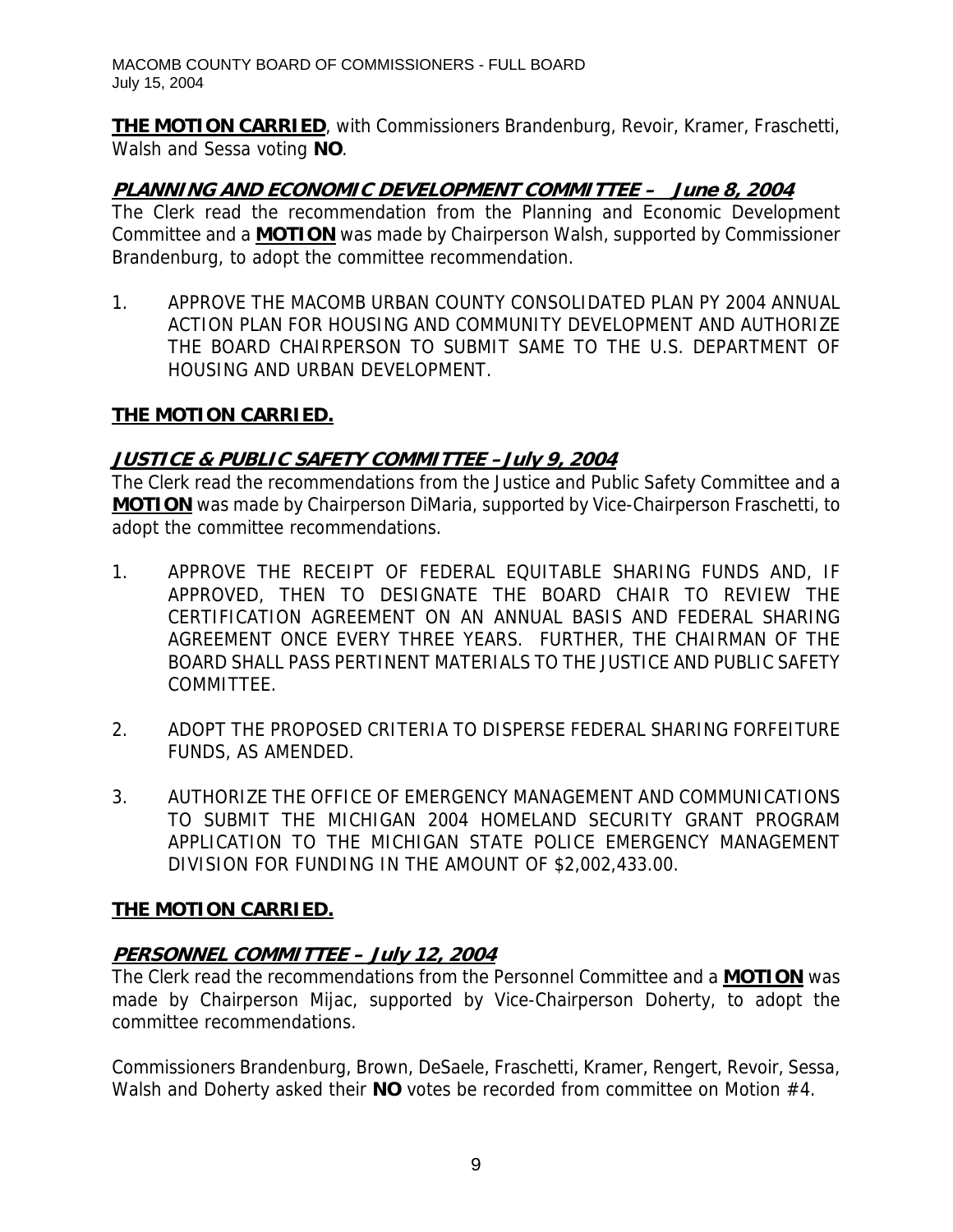**THE MOTION CARRIED**, with Commissioners Brandenburg, Revoir, Kramer, Fraschetti, Walsh and Sessa voting **NO**.

# **PLANNING AND ECONOMIC DEVELOPMENT COMMITTEE – June 8, 2004**

The Clerk read the recommendation from the Planning and Economic Development Committee and a **MOTION** was made by Chairperson Walsh, supported by Commissioner Brandenburg, to adopt the committee recommendation.

1. APPROVE THE MACOMB URBAN COUNTY CONSOLIDATED PLAN PY 2004 ANNUAL ACTION PLAN FOR HOUSING AND COMMUNITY DEVELOPMENT AND AUTHORIZE THE BOARD CHAIRPERSON TO SUBMIT SAME TO THE U.S. DEPARTMENT OF HOUSING AND URBAN DEVELOPMENT.

# **THE MOTION CARRIED.**

# **JUSTICE & PUBLIC SAFETY COMMITTEE –July 9, 2004**

The Clerk read the recommendations from the Justice and Public Safety Committee and a **MOTION** was made by Chairperson DiMaria, supported by Vice-Chairperson Fraschetti, to adopt the committee recommendations.

- 1. APPROVE THE RECEIPT OF FEDERAL EQUITABLE SHARING FUNDS AND, IF APPROVED, THEN TO DESIGNATE THE BOARD CHAIR TO REVIEW THE CERTIFICATION AGREEMENT ON AN ANNUAL BASIS AND FEDERAL SHARING AGREEMENT ONCE EVERY THREE YEARS. FURTHER, THE CHAIRMAN OF THE BOARD SHALL PASS PERTINENT MATERIALS TO THE JUSTICE AND PUBLIC SAFETY COMMITTEE.
- 2. ADOPT THE PROPOSED CRITERIA TO DISPERSE FEDERAL SHARING FORFEITURE FUNDS, AS AMENDED.
- 3. AUTHORIZE THE OFFICE OF EMERGENCY MANAGEMENT AND COMMUNICATIONS TO SUBMIT THE MICHIGAN 2004 HOMELAND SECURITY GRANT PROGRAM APPLICATION TO THE MICHIGAN STATE POLICE EMERGENCY MANAGEMENT DIVISION FOR FUNDING IN THE AMOUNT OF \$2,002,433.00.

# **THE MOTION CARRIED.**

# **PERSONNEL COMMITTEE – July 12, 2004**

The Clerk read the recommendations from the Personnel Committee and a **MOTION** was made by Chairperson Mijac, supported by Vice-Chairperson Doherty, to adopt the committee recommendations.

Commissioners Brandenburg, Brown, DeSaele, Fraschetti, Kramer, Rengert, Revoir, Sessa, Walsh and Doherty asked their **NO** votes be recorded from committee on Motion #4.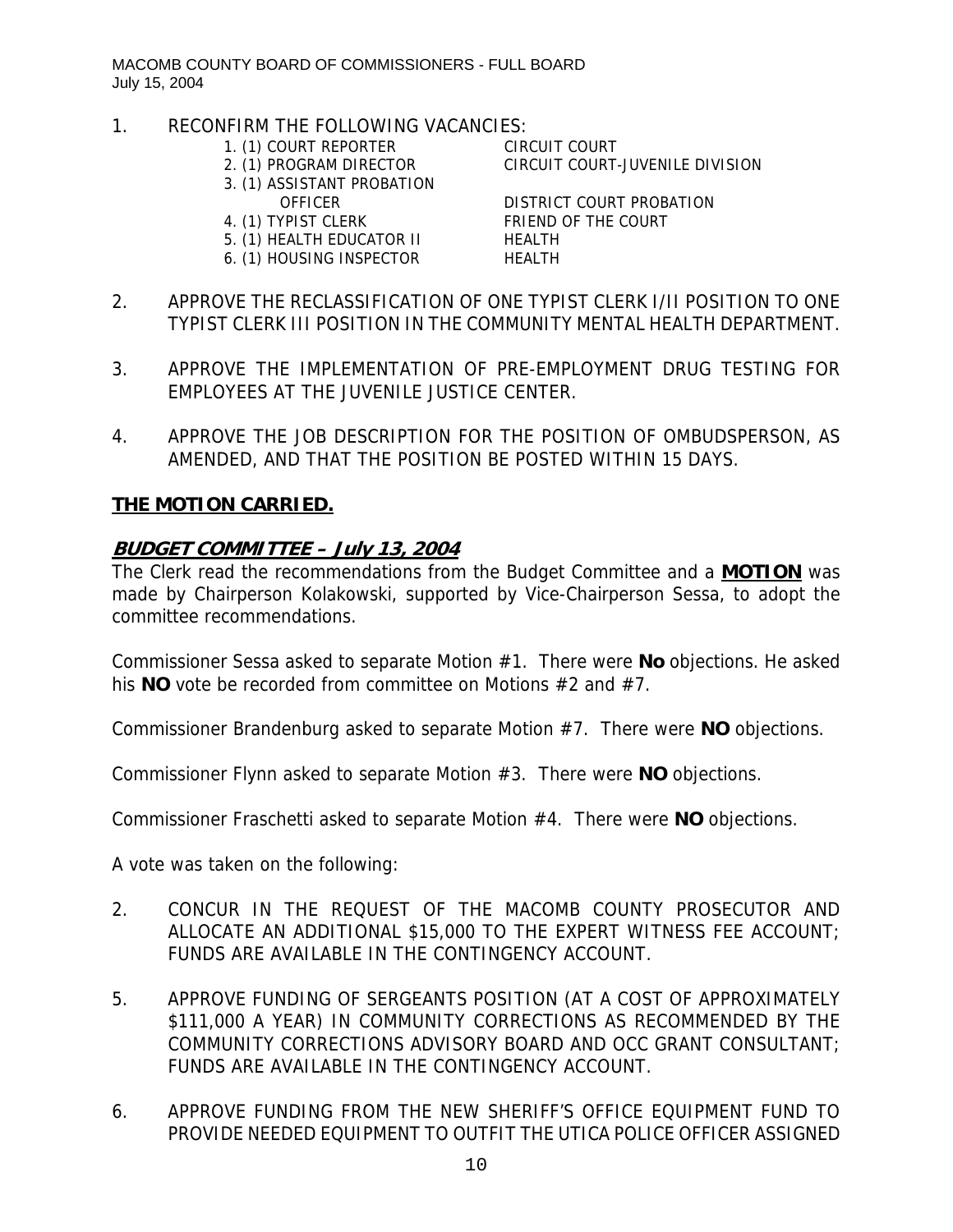- 1. RECONFIRM THE FOLLOWING VACANCIES:
	- 1. (1) COURT REPORTER CIRCUIT COURT
	-
	- 3. (1) ASSISTANT PROBATION
	-
	-
	- 5. (1) HEALTH EDUCATOR II HEALTH
	- 6. (1) HOUSING INSPECTOR HEALTH

2. (1) PROGRAM DIRECTOR CIRCUIT COURT-JUVENILE DIVISION

 OFFICER DISTRICT COURT PROBATION 4. (1) TYPIST CLERK FRIEND OF THE COURT

- 2. APPROVE THE RECLASSIFICATION OF ONE TYPIST CLERK I/II POSITION TO ONE TYPIST CLERK III POSITION IN THE COMMUNITY MENTAL HEALTH DEPARTMENT.
- 3. APPROVE THE IMPLEMENTATION OF PRE-EMPLOYMENT DRUG TESTING FOR EMPLOYEES AT THE JUVENILE JUSTICE CENTER.
- 4. APPROVE THE JOB DESCRIPTION FOR THE POSITION OF OMBUDSPERSON, AS AMENDED, AND THAT THE POSITION BE POSTED WITHIN 15 DAYS.

# **THE MOTION CARRIED.**

### **BUDGET COMMITTEE – July 13, 2004**

The Clerk read the recommendations from the Budget Committee and a **MOTION** was made by Chairperson Kolakowski, supported by Vice-Chairperson Sessa, to adopt the committee recommendations.

Commissioner Sessa asked to separate Motion #1. There were **No** objections. He asked his **NO** vote be recorded from committee on Motions #2 and #7.

Commissioner Brandenburg asked to separate Motion #7. There were **NO** objections.

Commissioner Flynn asked to separate Motion #3. There were **NO** objections.

Commissioner Fraschetti asked to separate Motion #4. There were **NO** objections.

A vote was taken on the following:

- 2. CONCUR IN THE REQUEST OF THE MACOMB COUNTY PROSECUTOR AND ALLOCATE AN ADDITIONAL \$15,000 TO THE EXPERT WITNESS FEE ACCOUNT; FUNDS ARE AVAILABLE IN THE CONTINGENCY ACCOUNT.
- 5. APPROVE FUNDING OF SERGEANTS POSITION (AT A COST OF APPROXIMATELY \$111,000 A YEAR) IN COMMUNITY CORRECTIONS AS RECOMMENDED BY THE COMMUNITY CORRECTIONS ADVISORY BOARD AND OCC GRANT CONSULTANT; FUNDS ARE AVAILABLE IN THE CONTINGENCY ACCOUNT.
- 6. APPROVE FUNDING FROM THE NEW SHERIFF'S OFFICE EQUIPMENT FUND TO PROVIDE NEEDED EQUIPMENT TO OUTFIT THE UTICA POLICE OFFICER ASSIGNED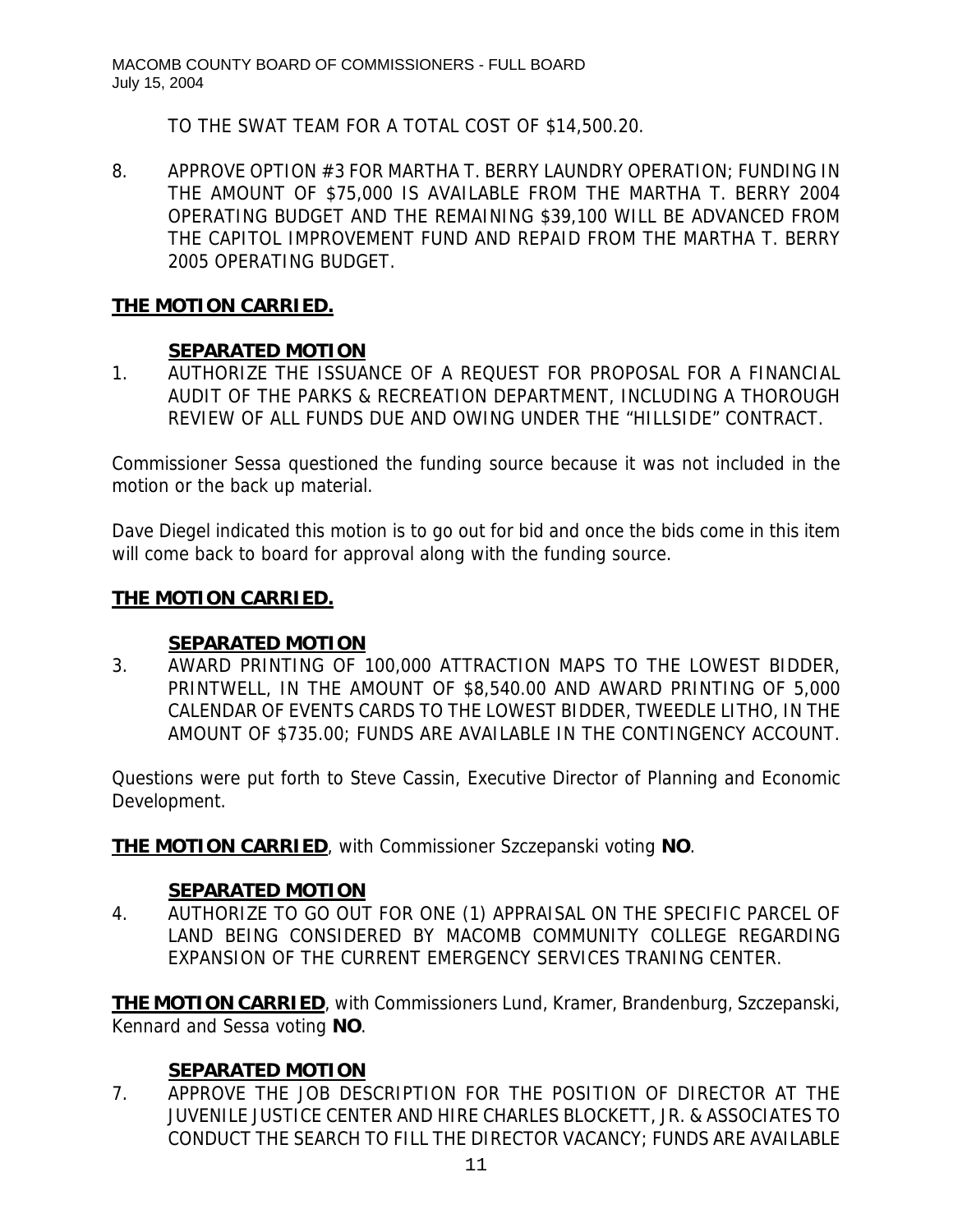TO THE SWAT TEAM FOR A TOTAL COST OF \$14,500.20.

8. APPROVE OPTION #3 FOR MARTHA T. BERRY LAUNDRY OPERATION; FUNDING IN THE AMOUNT OF \$75,000 IS AVAILABLE FROM THE MARTHA T. BERRY 2004 OPERATING BUDGET AND THE REMAINING \$39,100 WILL BE ADVANCED FROM THE CAPITOL IMPROVEMENT FUND AND REPAID FROM THE MARTHA T. BERRY 2005 OPERATING BUDGET.

### **THE MOTION CARRIED.**

### **SEPARATED MOTION**

1. AUTHORIZE THE ISSUANCE OF A REQUEST FOR PROPOSAL FOR A FINANCIAL AUDIT OF THE PARKS & RECREATION DEPARTMENT, INCLUDING A THOROUGH REVIEW OF ALL FUNDS DUE AND OWING UNDER THE "HILLSIDE" CONTRACT.

Commissioner Sessa questioned the funding source because it was not included in the motion or the back up material.

Dave Diegel indicated this motion is to go out for bid and once the bids come in this item will come back to board for approval along with the funding source.

### **THE MOTION CARRIED.**

### **SEPARATED MOTION**

3. AWARD PRINTING OF 100,000 ATTRACTION MAPS TO THE LOWEST BIDDER, PRINTWELL, IN THE AMOUNT OF \$8,540.00 AND AWARD PRINTING OF 5,000 CALENDAR OF EVENTS CARDS TO THE LOWEST BIDDER, TWEEDLE LITHO, IN THE AMOUNT OF \$735.00; FUNDS ARE AVAILABLE IN THE CONTINGENCY ACCOUNT.

Questions were put forth to Steve Cassin, Executive Director of Planning and Economic Development.

**THE MOTION CARRIED**, with Commissioner Szczepanski voting **NO**.

### **SEPARATED MOTION**

4. AUTHORIZE TO GO OUT FOR ONE (1) APPRAISAL ON THE SPECIFIC PARCEL OF LAND BEING CONSIDERED BY MACOMB COMMUNITY COLLEGE REGARDING EXPANSION OF THE CURRENT EMERGENCY SERVICES TRANING CENTER.

**THE MOTION CARRIED**, with Commissioners Lund, Kramer, Brandenburg, Szczepanski, Kennard and Sessa voting **NO**.

# **SEPARATED MOTION**

7. APPROVE THE JOB DESCRIPTION FOR THE POSITION OF DIRECTOR AT THE JUVENILE JUSTICE CENTER AND HIRE CHARLES BLOCKETT, JR. & ASSOCIATES TO CONDUCT THE SEARCH TO FILL THE DIRECTOR VACANCY; FUNDS ARE AVAILABLE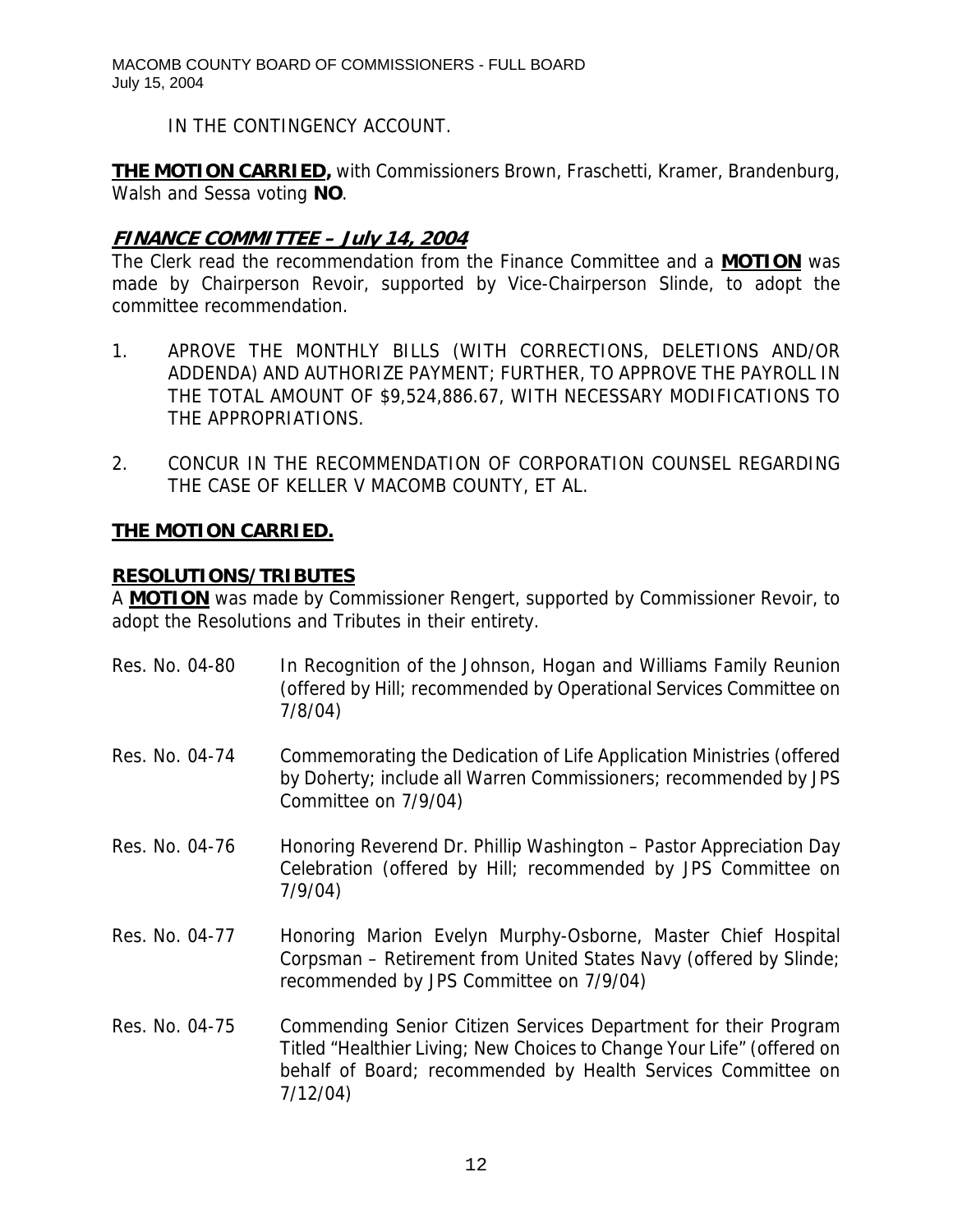IN THE CONTINGENCY ACCOUNT.

**THE MOTION CARRIED,** with Commissioners Brown, Fraschetti, Kramer, Brandenburg, Walsh and Sessa voting **NO**.

# **FINANCE COMMITTEE – July 14, 2004**

The Clerk read the recommendation from the Finance Committee and a **MOTION** was made by Chairperson Revoir, supported by Vice-Chairperson Slinde, to adopt the committee recommendation.

- 1. APROVE THE MONTHLY BILLS (WITH CORRECTIONS, DELETIONS AND/OR ADDENDA) AND AUTHORIZE PAYMENT; FURTHER, TO APPROVE THE PAYROLL IN THE TOTAL AMOUNT OF \$9,524,886.67, WITH NECESSARY MODIFICATIONS TO THE APPROPRIATIONS.
- 2. CONCUR IN THE RECOMMENDATION OF CORPORATION COUNSEL REGARDING THE CASE OF KELLER V MACOMB COUNTY, ET AL.

# **THE MOTION CARRIED.**

### **RESOLUTIONS/TRIBUTES**

A **MOTION** was made by Commissioner Rengert, supported by Commissioner Revoir, to adopt the Resolutions and Tributes in their entirety.

- Res. No. 04-80 In Recognition of the Johnson, Hogan and Williams Family Reunion (offered by Hill; recommended by Operational Services Committee on 7/8/04)
- Res. No. 04-74 Commemorating the Dedication of Life Application Ministries (offered by Doherty; include all Warren Commissioners; recommended by JPS Committee on 7/9/04)
- Res. No. 04-76 Honoring Reverend Dr. Phillip Washington Pastor Appreciation Day Celebration (offered by Hill; recommended by JPS Committee on 7/9/04)
- Res. No. 04-77 Honoring Marion Evelyn Murphy-Osborne, Master Chief Hospital Corpsman – Retirement from United States Navy (offered by Slinde; recommended by JPS Committee on 7/9/04)
- Res. No. 04-75 Commending Senior Citizen Services Department for their Program Titled "Healthier Living; New Choices to Change Your Life" (offered on behalf of Board; recommended by Health Services Committee on 7/12/04)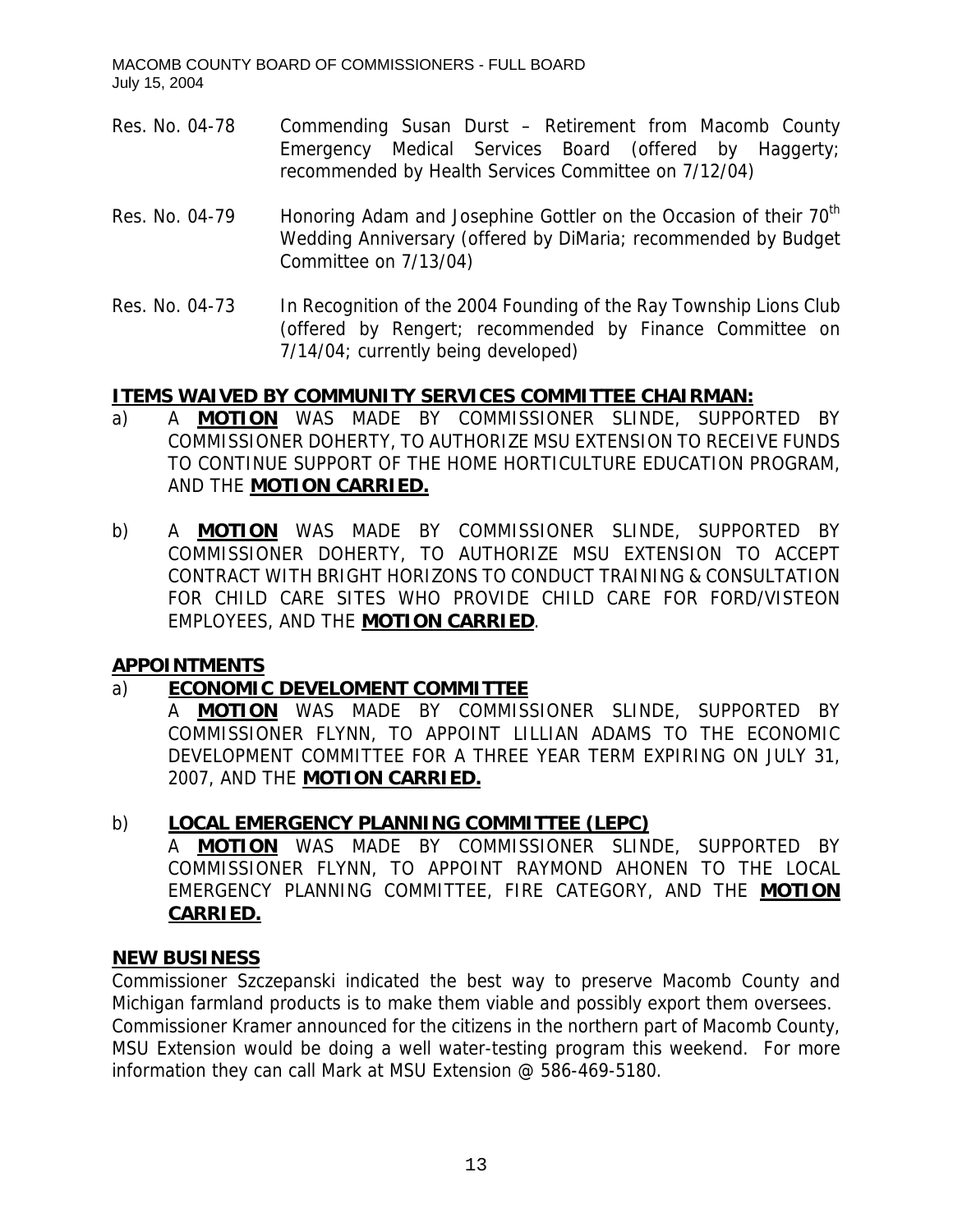- Res. No. 04-78 Commending Susan Durst Retirement from Macomb County Emergency Medical Services Board (offered by Haggerty; recommended by Health Services Committee on 7/12/04)
- Res. No. 04-79 Honoring Adam and Josephine Gottler on the Occasion of their 70<sup>th</sup> Wedding Anniversary (offered by DiMaria; recommended by Budget Committee on 7/13/04)
- Res. No. 04-73 In Recognition of the 2004 Founding of the Ray Township Lions Club (offered by Rengert; recommended by Finance Committee on 7/14/04; currently being developed)

# **ITEMS WAIVED BY COMMUNITY SERVICES COMMITTEE CHAIRMAN:**

- a) A **MOTION** WAS MADE BY COMMISSIONER SLINDE, SUPPORTED BY COMMISSIONER DOHERTY, TO AUTHORIZE MSU EXTENSION TO RECEIVE FUNDS TO CONTINUE SUPPORT OF THE HOME HORTICULTURE EDUCATION PROGRAM, AND THE **MOTION CARRIED.**
- b) A **MOTION** WAS MADE BY COMMISSIONER SLINDE, SUPPORTED BY COMMISSIONER DOHERTY, TO AUTHORIZE MSU EXTENSION TO ACCEPT CONTRACT WITH BRIGHT HORIZONS TO CONDUCT TRAINING & CONSULTATION FOR CHILD CARE SITES WHO PROVIDE CHILD CARE FOR FORD/VISTEON EMPLOYEES, AND THE **MOTION CARRIED**.

# **APPOINTMENTS**

# a) **ECONOMIC DEVELOMENT COMMITTEE**

A **MOTION** WAS MADE BY COMMISSIONER SLINDE, SUPPORTED BY COMMISSIONER FLYNN, TO APPOINT LILLIAN ADAMS TO THE ECONOMIC DEVELOPMENT COMMITTEE FOR A THREE YEAR TERM EXPIRING ON JULY 31, 2007, AND THE **MOTION CARRIED.**

### b) **LOCAL EMERGENCY PLANNING COMMITTEE (LEPC)**

A **MOTION** WAS MADE BY COMMISSIONER SLINDE, SUPPORTED BY COMMISSIONER FLYNN, TO APPOINT RAYMOND AHONEN TO THE LOCAL EMERGENCY PLANNING COMMITTEE, FIRE CATEGORY, AND THE **MOTION CARRIED.**

### **NEW BUSINESS**

Commissioner Szczepanski indicated the best way to preserve Macomb County and Michigan farmland products is to make them viable and possibly export them oversees. Commissioner Kramer announced for the citizens in the northern part of Macomb County, MSU Extension would be doing a well water-testing program this weekend. For more information they can call Mark at MSU Extension @ 586-469-5180.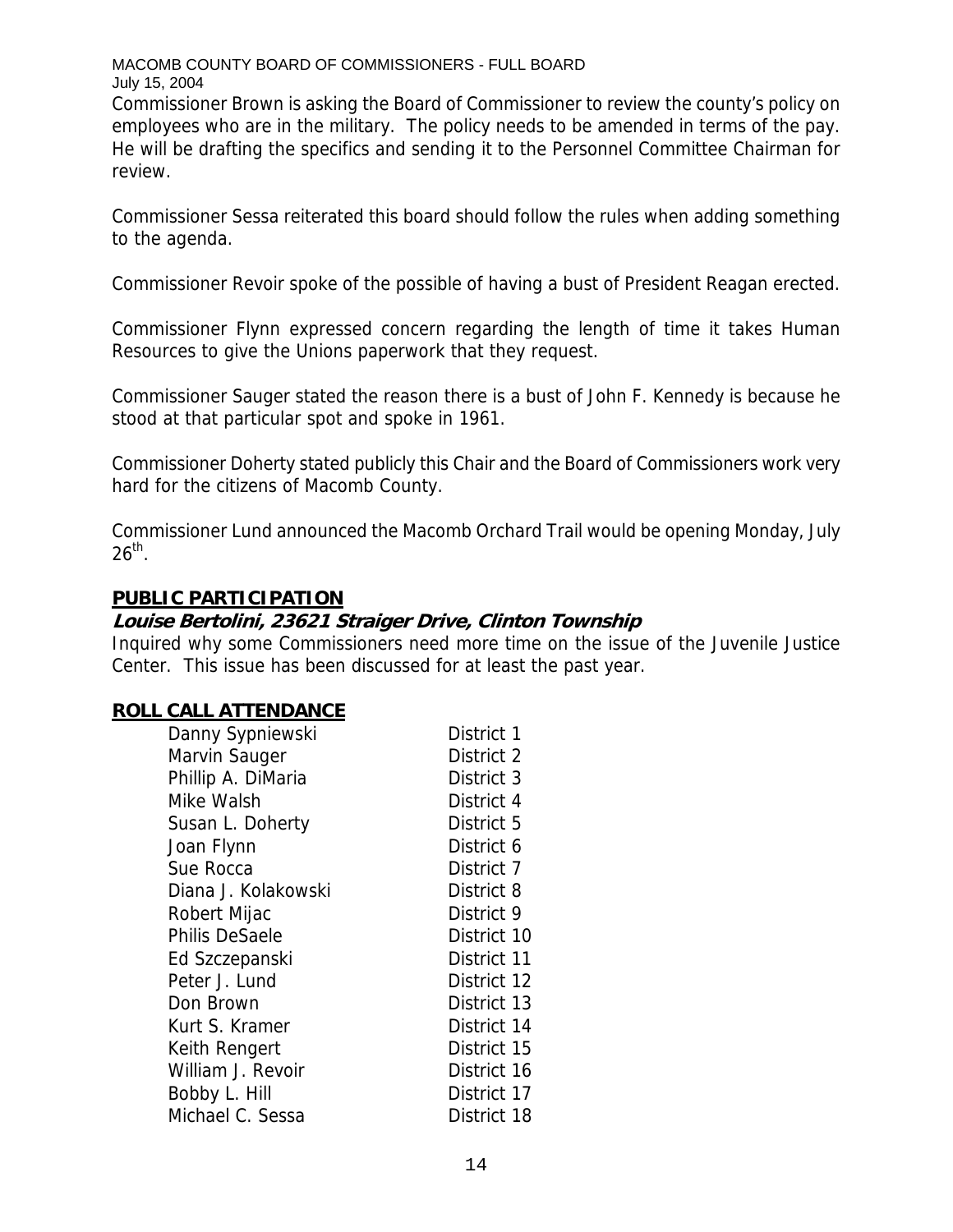Commissioner Brown is asking the Board of Commissioner to review the county's policy on employees who are in the military. The policy needs to be amended in terms of the pay. He will be drafting the specifics and sending it to the Personnel Committee Chairman for review.

Commissioner Sessa reiterated this board should follow the rules when adding something to the agenda.

Commissioner Revoir spoke of the possible of having a bust of President Reagan erected.

Commissioner Flynn expressed concern regarding the length of time it takes Human Resources to give the Unions paperwork that they request.

Commissioner Sauger stated the reason there is a bust of John F. Kennedy is because he stood at that particular spot and spoke in 1961.

Commissioner Doherty stated publicly this Chair and the Board of Commissioners work very hard for the citizens of Macomb County.

Commissioner Lund announced the Macomb Orchard Trail would be opening Monday, July  $26<sup>th</sup>$ .

### **PUBLIC PARTICIPATION**

### **Louise Bertolini, 23621 Straiger Drive, Clinton Township**

Inquired why some Commissioners need more time on the issue of the Juvenile Justice Center. This issue has been discussed for at least the past year.

### **ROLL CALL ATTENDANCE**

| Danny Sypniewski      | District 1  |
|-----------------------|-------------|
| Marvin Sauger         | District 2  |
| Phillip A. DiMaria    | District 3  |
| Mike Walsh            | District 4  |
| Susan L. Doherty      | District 5  |
| Joan Flynn            | District 6  |
| Sue Rocca             | District 7  |
| Diana J. Kolakowski   | District 8  |
| Robert Mijac          | District 9  |
| <b>Philis DeSaele</b> | District 10 |
| Ed Szczepanski        | District 11 |
| Peter J. Lund         | District 12 |
| Don Brown             | District 13 |
| Kurt S. Kramer        | District 14 |
| Keith Rengert         | District 15 |
| William J. Revoir     | District 16 |
| Bobby L. Hill         | District 17 |
| Michael C. Sessa      | District 18 |